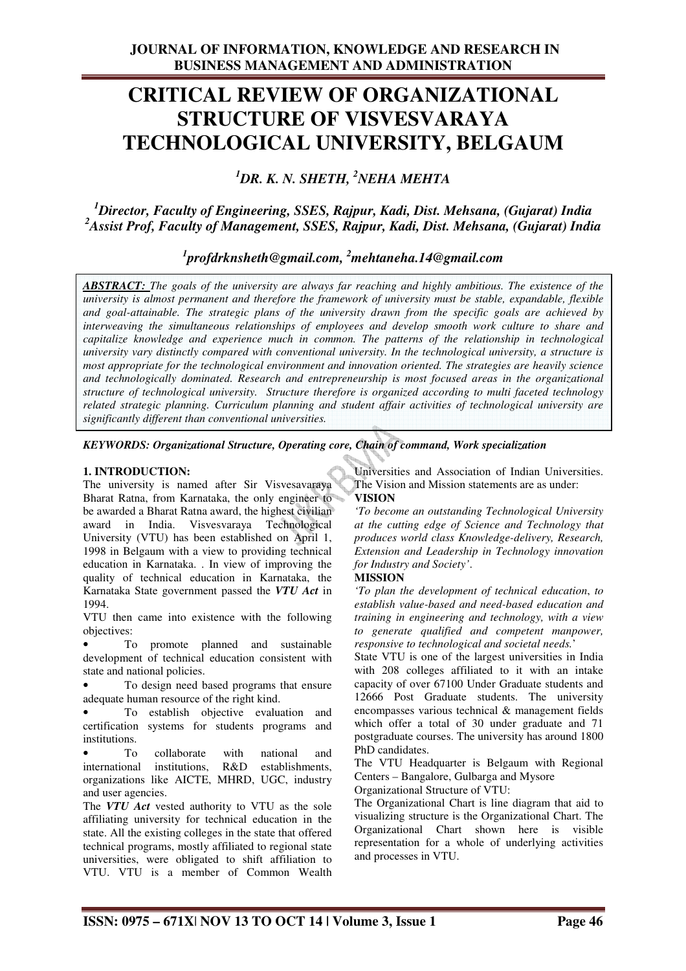# **CRITICAL REVIEW OF ORGANIZATIONAL STRUCTURE OF VISVESVARAYA TECHNOLOGICAL UNIVERSITY, BELGAUM**

*<sup>1</sup>DR. K. N. SHETH, <sup>2</sup>NEHA MEHTA* 

*<sup>1</sup>Director, Faculty of Engineering, SSES, Rajpur, Kadi, Dist. Mehsana, (Gujarat) India <sup>2</sup>Assist Prof, Faculty of Management, SSES, Rajpur, Kadi, Dist. Mehsana, (Gujarat) India* 

# *1 profdrknsheth@gmail.com, <sup>2</sup>mehtaneha.14@gmail.com*

*ABSTRACT: The goals of the university are always far reaching and highly ambitious. The existence of the university is almost permanent and therefore the framework of university must be stable, expandable, flexible and goal-attainable. The strategic plans of the university drawn from the specific goals are achieved by interweaving the simultaneous relationships of employees and develop smooth work culture to share and capitalize knowledge and experience much in common. The patterns of the relationship in technological university vary distinctly compared with conventional university. In the technological university, a structure is most appropriate for the technological environment and innovation oriented. The strategies are heavily science and technologically dominated. Research and entrepreneurship is most focused areas in the organizational structure of technological university. Structure therefore is organized according to multi faceted technology related strategic planning. Curriculum planning and student affair activities of technological university are significantly different than conventional universities.*

*KEYWORDS: Organizational Structure, Operating core, Chain of command, Work specialization* 

#### **1. INTRODUCTION:**

The university is named after Sir Visvesavaraya Bharat Ratna, from Karnataka, the only engineer to be awarded a Bharat Ratna award, the highest civilian award in India. Visvesvaraya Technological University (VTU) has been established on April 1, 1998 in Belgaum with a view to providing technical education in Karnataka. . In view of improving the quality of technical education in Karnataka, the Karnataka State government passed the *VTU Act* in 1994.

VTU then came into existence with the following objectives:

To promote planned and sustainable development of technical education consistent with state and national policies.

• To design need based programs that ensure adequate human resource of the right kind.

To establish objective evaluation and certification systems for students programs and institutions.

To collaborate with national and international institutions, R&D establishments, organizations like AICTE, MHRD, UGC, industry and user agencies.

The *VTU Act* vested authority to VTU as the sole affiliating university for technical education in the state. All the existing colleges in the state that offered technical programs, mostly affiliated to regional state universities, were obligated to shift affiliation to VTU. VTU is a member of Common Wealth

Universities and Association of Indian Universities. The Vision and Mission statements are as under:

## **VISION**

*'To become an outstanding Technological University at the cutting edge of Science and Technology that produces world class Knowledge-delivery, Research, Extension and Leadership in Technology innovation for Industry and Society'*.

## **MISSION**

*'To plan the development of technical education*, *to establish value-based and need-based education and training in engineering and technology, with a view to generate qualified and competent manpower, responsive to technological and societal needs.*'

State VTU is one of the largest universities in India with 208 colleges affiliated to it with an intake capacity of over 67100 Under Graduate students and 12666 Post Graduate students. The university encompasses various technical & management fields which offer a total of 30 under graduate and 71 postgraduate courses. The university has around 1800 PhD candidates.

The VTU Headquarter is Belgaum with Regional Centers – Bangalore, Gulbarga and Mysore

Organizational Structure of VTU:

The Organizational Chart is line diagram that aid to visualizing structure is the Organizational Chart. The Organizational Chart shown here is visible representation for a whole of underlying activities and processes in VTU.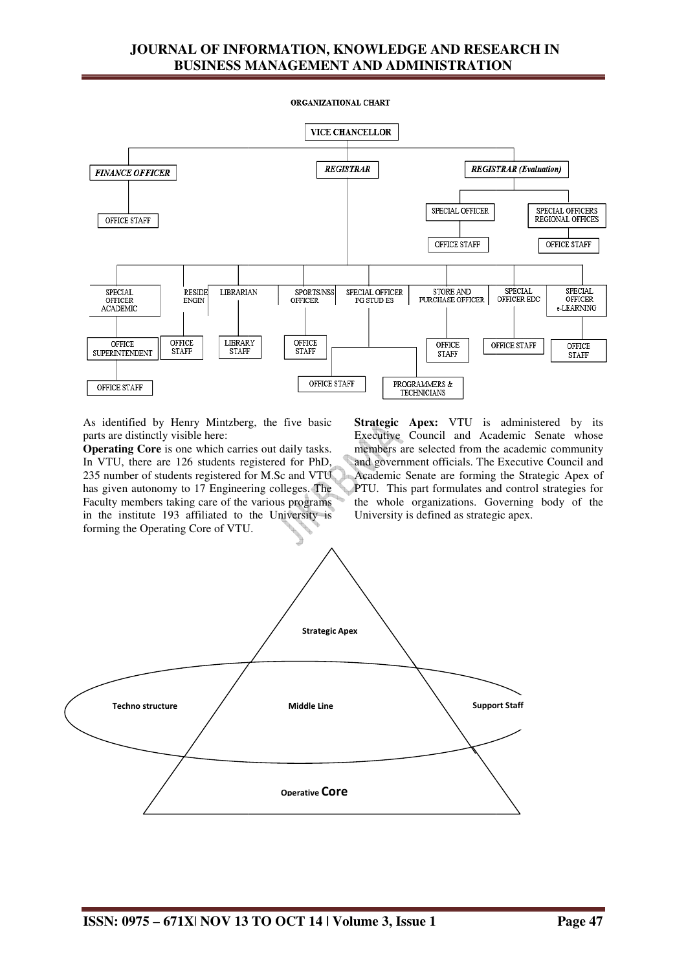# **JOURNAL OF INFORMATION, KNOWLEDGE AND RESEARCH IN BUSINESS MANAGEMENT AND ADMINISTRATION**

ORGANIZATIONAL CHART



As identified by Henry Mintzberg Mintzberg, the five basic parts are distinctly visible here:

**Operating Core** is one which carries out daily tasks. In VTU, there are 126 students registered for PhD, 235 number of students registered for M.Sc and VTU has given autonomy to 17 Engineering colleges. The Faculty members taking care of the various programs in the institute 193 affiliated to the University is forming the Operating Core of VTU.

**Strategic Apex:** VTU is administered by its Executive Council and Academic Senate whose members are selected from the academic community and government officials. The Executive Council and Academic Senate are forming the Strategic Apex of PTU. This part formulates and control strategies for the whole organizations. Governing body of the University is defined as strategic apex.

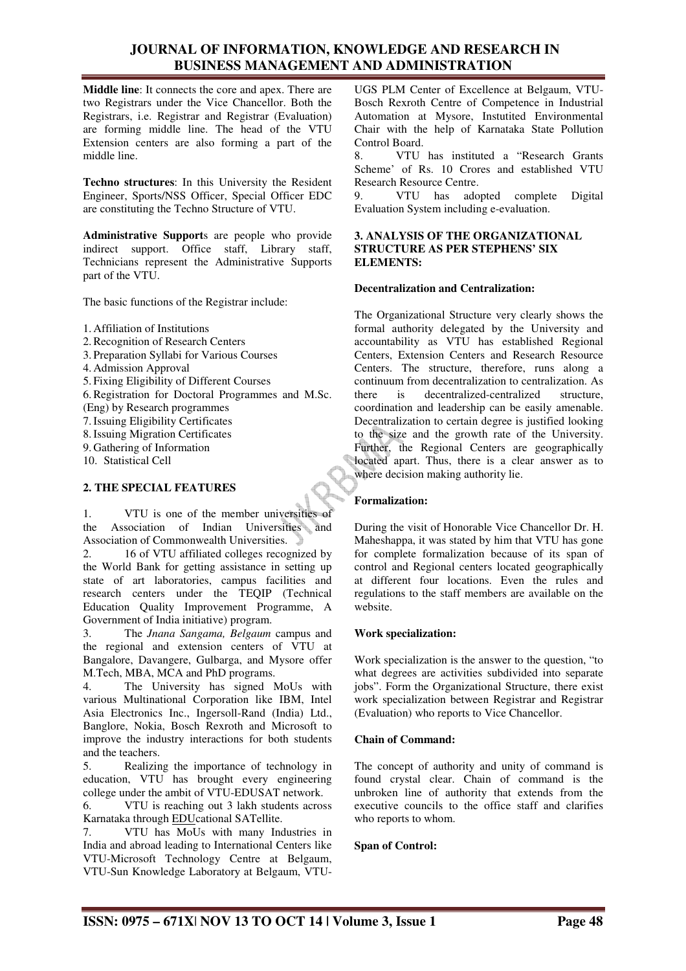## **JOURNAL OF INFORMATION, KNOWLEDGE AND RESEARCH IN BUSINESS MANAGEMENT AND ADMINISTRATION**

**Middle line**: It connects the core and apex. There are two Registrars under the Vice Chancellor. Both the Registrars, i.e. Registrar and Registrar (Evaluation) are forming middle line. The head of the VTU Extension centers are also forming a part of the middle line.

**Techno structures**: In this University the Resident Engineer, Sports/NSS Officer, Special Officer EDC are constituting the Techno Structure of VTU.

**Administrative Support**s are people who provide indirect support. Office staff, Library staff, Technicians represent the Administrative Supports part of the VTU.

The basic functions of the Registrar include:

1. Affiliation of Institutions

2.Recognition of Research Centers

- 3. Preparation Syllabi for Various Courses
- 4. Admission Approval

5. Fixing Eligibility of Different Courses

6.Registration for Doctoral Programmes and M.Sc.

(Eng) by Research programmes

7.Issuing Eligibility Certificates

8.Issuing Migration Certificates

9. Gathering of Information 10. Statistical Cell

#### **2. THE SPECIAL FEATURES**

1. VTU is one of the member universities of the Association of Indian Universities and Association of Commonwealth Universities.

2. 16 of VTU affiliated colleges recognized by the World Bank for getting assistance in setting up state of art laboratories, campus facilities and research centers under the TEQIP (Technical Education Quality Improvement Programme, A Government of India initiative) program.

3. The *Jnana Sangama, Belgaum* campus and the regional and extension centers of VTU at Bangalore, Davangere, Gulbarga, and Mysore offer M.Tech, MBA, MCA and PhD programs.

The University has signed MoUs with various Multinational Corporation like IBM, Intel Asia Electronics Inc., Ingersoll-Rand (India) Ltd., Banglore, Nokia, Bosch Rexroth and Microsoft to improve the industry interactions for both students and the teachers.

5. Realizing the importance of technology in education, VTU has brought every engineering college under the ambit of VTU-EDUSAT network.

6. VTU is reaching out 3 lakh students across Karnataka through EDUcational SATellite.

7. VTU has MoUs with many Industries in India and abroad leading to International Centers like VTU-Microsoft Technology Centre at Belgaum, VTU-Sun Knowledge Laboratory at Belgaum, VTU-

UGS PLM Center of Excellence at Belgaum, VTU-Bosch Rexroth Centre of Competence in Industrial Automation at Mysore, Instutited Environmental Chair with the help of Karnataka State Pollution Control Board.

8. VTU has instituted a "Research Grants Scheme' of Rs. 10 Crores and established VTU Research Resource Centre.

9. VTU has adopted complete Digital Evaluation System including e-evaluation.

#### **3. ANALYSIS OF THE ORGANIZATIONAL STRUCTURE AS PER STEPHENS' SIX ELEMENTS:**

#### **Decentralization and Centralization:**

The Organizational Structure very clearly shows the formal authority delegated by the University and accountability as VTU has established Regional Centers, Extension Centers and Research Resource Centers. The structure, therefore, runs along a continuum from decentralization to centralization. As there is decentralized-centralized structure, coordination and leadership can be easily amenable. Decentralization to certain degree is justified looking to the size and the growth rate of the University. Further, the Regional Centers are geographically located apart. Thus, there is a clear answer as to where decision making authority lie.

#### **Formalization:**

During the visit of Honorable Vice Chancellor Dr. H. Maheshappa, it was stated by him that VTU has gone for complete formalization because of its span of control and Regional centers located geographically at different four locations. Even the rules and regulations to the staff members are available on the website.

#### **Work specialization:**

Work specialization is the answer to the question, "to what degrees are activities subdivided into separate jobs". Form the Organizational Structure, there exist work specialization between Registrar and Registrar (Evaluation) who reports to Vice Chancellor.

#### **Chain of Command:**

The concept of authority and unity of command is found crystal clear. Chain of command is the unbroken line of authority that extends from the executive councils to the office staff and clarifies who reports to whom.

#### **Span of Control:**